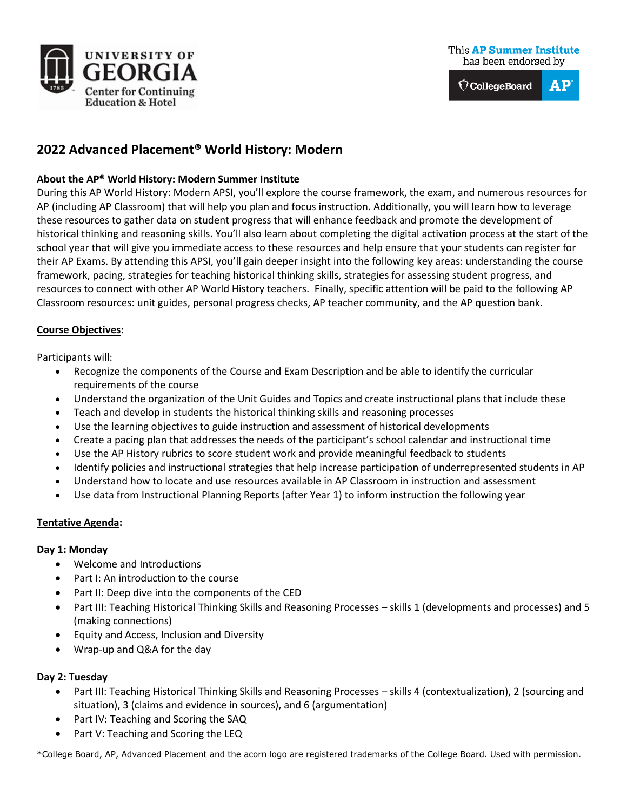

# **This AP Summer Institute** has been endorsed by



# **2022 Advanced Placement® World History: Modern**

## **About the AP® World History: Modern Summer Institute**

During this AP World History: Modern APSI, you'll explore the course framework, the exam, and numerous resources for AP (including AP Classroom) that will help you plan and focus instruction. Additionally, you will learn how to leverage these resources to gather data on student progress that will enhance feedback and promote the development of historical thinking and reasoning skills. You'll also learn about completing the digital activation process at the start of the school year that will give you immediate access to these resources and help ensure that your students can register for their AP Exams. By attending this APSI, you'll gain deeper insight into the following key areas: understanding the course framework, pacing, strategies for teaching historical thinking skills, strategies for assessing student progress, and resources to connect with other AP World History teachers. Finally, specific attention will be paid to the following AP Classroom resources: unit guides, personal progress checks, AP teacher community, and the AP question bank.

### **Course Objectives:**

Participants will:

- Recognize the components of the Course and Exam Description and be able to identify the curricular requirements of the course
- Understand the organization of the Unit Guides and Topics and create instructional plans that include these
- Teach and develop in students the historical thinking skills and reasoning processes
- Use the learning objectives to guide instruction and assessment of historical developments
- Create a pacing plan that addresses the needs of the participant's school calendar and instructional time
- Use the AP History rubrics to score student work and provide meaningful feedback to students
- Identify policies and instructional strategies that help increase participation of underrepresented students in AP
- Understand how to locate and use resources available in AP Classroom in instruction and assessment
- Use data from Instructional Planning Reports (after Year 1) to inform instruction the following year

#### **Tentative Agenda:**

#### **Day 1: Monday**

- Welcome and Introductions
- Part I: An introduction to the course
- Part II: Deep dive into the components of the CED
- Part III: Teaching Historical Thinking Skills and Reasoning Processes skills 1 (developments and processes) and 5 (making connections)
- Equity and Access, Inclusion and Diversity
- Wrap-up and Q&A for the day

#### **Day 2: Tuesday**

- Part III: Teaching Historical Thinking Skills and Reasoning Processes skills 4 (contextualization), 2 (sourcing and situation), 3 (claims and evidence in sources), and 6 (argumentation)
- Part IV: Teaching and Scoring the SAQ
- Part V: Teaching and Scoring the LEQ

\*College Board, AP, Advanced Placement and the acorn logo are registered trademarks of the College Board. Used with permission.